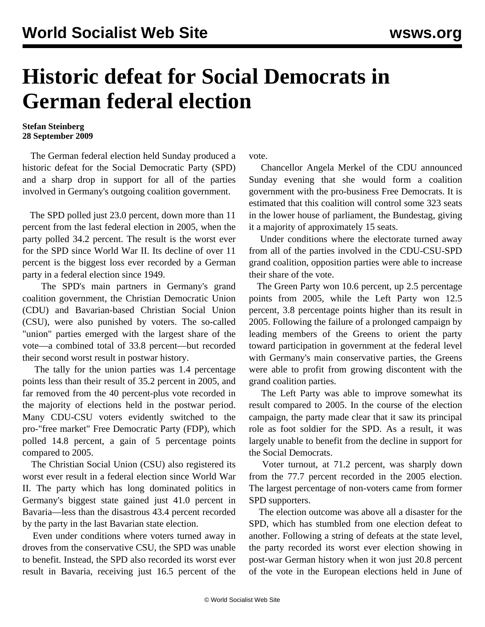## **Historic defeat for Social Democrats in German federal election**

## **Stefan Steinberg 28 September 2009**

 The German federal election held Sunday produced a historic defeat for the Social Democratic Party (SPD) and a sharp drop in support for all of the parties involved in Germany's outgoing coalition government.

 The SPD polled just 23.0 percent, down more than 11 percent from the last federal election in 2005, when the party polled 34.2 percent. The result is the worst ever for the SPD since World War II. Its decline of over 11 percent is the biggest loss ever recorded by a German party in a federal election since 1949.

 The SPD's main partners in Germany's grand coalition government, the Christian Democratic Union (CDU) and Bavarian-based Christian Social Union (CSU), were also punished by voters. The so-called "union" parties emerged with the largest share of the vote—a combined total of 33.8 percent—but recorded their second worst result in postwar history.

 The tally for the union parties was 1.4 percentage points less than their result of 35.2 percent in 2005, and far removed from the 40 percent-plus vote recorded in the majority of elections held in the postwar period. Many CDU-CSU voters evidently switched to the pro-"free market" Free Democratic Party (FDP), which polled 14.8 percent, a gain of 5 percentage points compared to 2005.

 The Christian Social Union (CSU) also registered its worst ever result in a federal election since World War II. The party which has long dominated politics in Germany's biggest state gained just 41.0 percent in Bavaria—less than the disastrous 43.4 percent recorded by the party in the last Bavarian state election.

 Even under conditions where voters turned away in droves from the conservative CSU, the SPD was unable to benefit. Instead, the SPD also recorded its worst ever result in Bavaria, receiving just 16.5 percent of the vote.

 Chancellor Angela Merkel of the CDU announced Sunday evening that she would form a coalition government with the pro-business Free Democrats. It is estimated that this coalition will control some 323 seats in the lower house of parliament, the Bundestag, giving it a majority of approximately 15 seats.

 Under conditions where the electorate turned away from all of the parties involved in the CDU-CSU-SPD grand coalition, opposition parties were able to increase their share of the vote.

 The Green Party won 10.6 percent, up 2.5 percentage points from 2005, while the Left Party won 12.5 percent, 3.8 percentage points higher than its result in 2005. Following the failure of a prolonged campaign by leading members of the Greens to orient the party toward participation in government at the federal level with Germany's main conservative parties, the Greens were able to profit from growing discontent with the grand coalition parties.

 The Left Party was able to improve somewhat its result compared to 2005. In the course of the election campaign, the party made clear that it saw its principal role as foot soldier for the SPD. As a result, it was largely unable to benefit from the decline in support for the Social Democrats.

 Voter turnout, at 71.2 percent, was sharply down from the 77.7 percent recorded in the 2005 election. The largest percentage of non-voters came from former SPD supporters.

 The election outcome was above all a disaster for the SPD, which has stumbled from one election defeat to another. Following a string of defeats at the state level, the party recorded its worst ever election showing in post-war German history when it won just 20.8 percent of the vote in the European elections held in June of